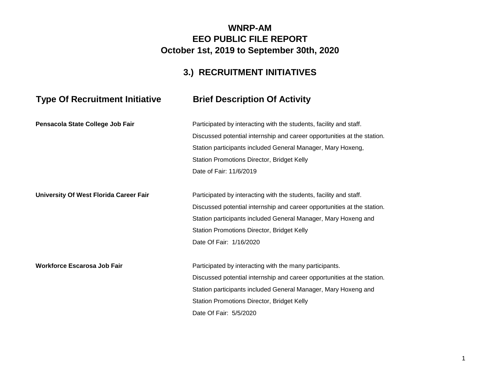### **WNRP-AM EEO PUBLIC FILE REPORT October 1st, 2019 to September 30th, 2020**

## **3.) RECRUITMENT INITIATIVES**

# **Type Of Recruitment Initiative Brief Description Of Activity**

| Pensacola State College Job Fair       | Participated by interacting with the students, facility and staff.      |
|----------------------------------------|-------------------------------------------------------------------------|
|                                        | Discussed potential internship and career opportunities at the station. |
|                                        | Station participants included General Manager, Mary Hoxeng,             |
|                                        | Station Promotions Director, Bridget Kelly                              |
|                                        | Date of Fair: 11/6/2019                                                 |
| University Of West Florida Career Fair | Participated by interacting with the students, facility and staff.      |
|                                        | Discussed potential internship and career opportunities at the station. |
|                                        | Station participants included General Manager, Mary Hoxeng and          |
|                                        | Station Promotions Director, Bridget Kelly                              |
|                                        | Date Of Fair: 1/16/2020                                                 |
| <b>Workforce Escarosa Job Fair</b>     | Participated by interacting with the many participants.                 |
|                                        | Discussed potential internship and career opportunities at the station. |
|                                        | Station participants included General Manager, Mary Hoxeng and          |
|                                        | Station Promotions Director, Bridget Kelly                              |
|                                        | Date Of Fair: 5/5/2020                                                  |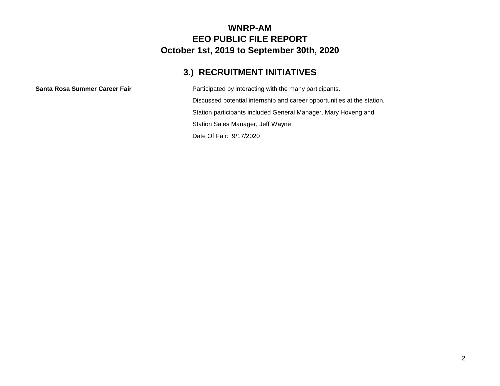#### **WNRP-AM EEO PUBLIC FILE REPORT October 1st, 2019 to September 30th, 2020**

## **3.) RECRUITMENT INITIATIVES**

**Santa Rosa Summer Career Fair** Participated by interacting with the many participants. Discussed potential internship and career opportunities at the station. Station participants included General Manager, Mary Hoxeng and Station Sales Manager, Jeff Wayne Date Of Fair: 9/17/2020